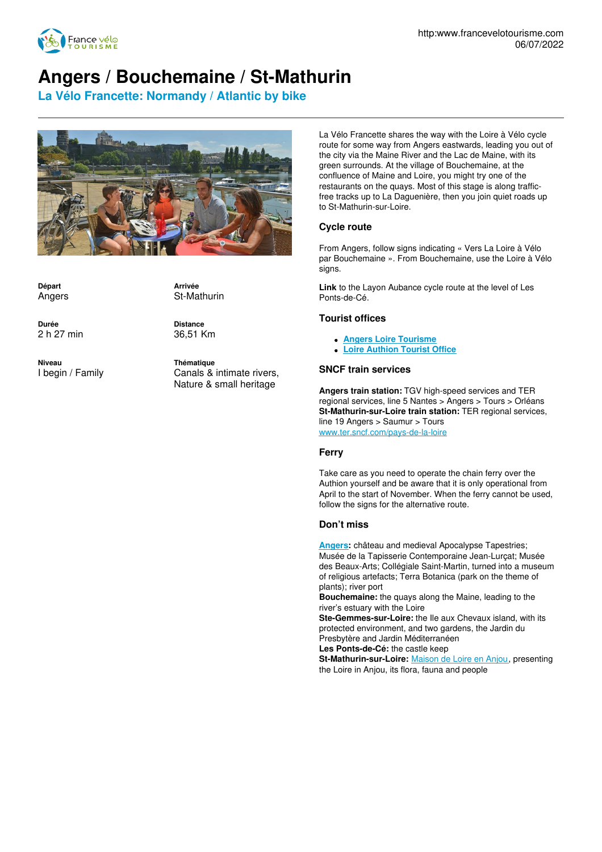

# **Angers / Bouchemaine / St-Mathurin**

**La Vélo Francette: Normandy / Atlantic by bike**



**Départ** Angers

**Durée** 2 h 27 min **Arrivée** St-Mathurin

**Distance** 36,51 Km

**Niveau** I begin / Family **Thématique** Canals & intimate rivers, Nature & small heritage

La Vélo Francette shares the way with the Loire à Vélo cycle route for some way from Angers eastwards, leading you out of the city via the Maine River and the Lac de Maine, with its green surrounds. At the village of Bouchemaine, at the confluence of Maine and Loire, you might try one of the restaurants on the quays. Most of this stage is along trafficfree tracks up to La Daguenière, then you join quiet roads up to St-Mathurin-sur-Loire.

### **Cycle route**

From Angers, follow signs indicating « Vers La Loire à Vélo par Bouchemaine ». From Bouchemaine, use the Loire à Vélo signs.

**Link** to the Layon Aubance cycle route at the level of Les Ponts-de-Cé.

#### **Tourist offices**

- **Angers Loire [Tourisme](http://www.angersloiretourisme.com/fr)**
- **Loire [Authion](http://www.angersloiretourisme.com/fr) Tourist Office**

#### **SNCF train services**

**Angers train station:** TGV high-speed services and TER regional services, line 5 Nantes > Angers > Tours > Orléans **St-Mathurin-sur-Loire train station:** TER regional services, line 19 Angers > Saumur > Tours [www.ter.sncf.com/pays-de-la-loire](http://www.ter.sncf.com/pays-de-la-loire)

#### **Ferry**

Take care as you need to operate the chain ferry over the Authion yourself and be aware that it is only operational from April to the start of November. When the ferry cannot be used, follow the signs for the alternative route.

#### **Don't miss**

**[Angers](http://www.angersloiretourisme.com/fr):** château and medieval Apocalypse Tapestries; Musée de la Tapisserie Contemporaine Jean-Lurçat; Musée des Beaux-Arts; Collégiale Saint-Martin, turned into a museum of religious artefacts; Terra Botanica (park on the theme of plants); river port

**Bouchemaine:** the quays along the Maine, leading to the river's estuary with the Loire

**Ste-Gemmes-sur-Loire:** the Ile aux Chevaux island, with its protected environment, and two gardens, the Jardin du Presbytère and Jardin Méditerranéen

**Les Ponts-de-Cé:** the castle keep

**St-Mathurin-sur-Loire:** [Maison](http://www.maisondeloire-anjou.fr/) de Loire en Anjou, presenting the Loire in Anjou, its flora, fauna and people